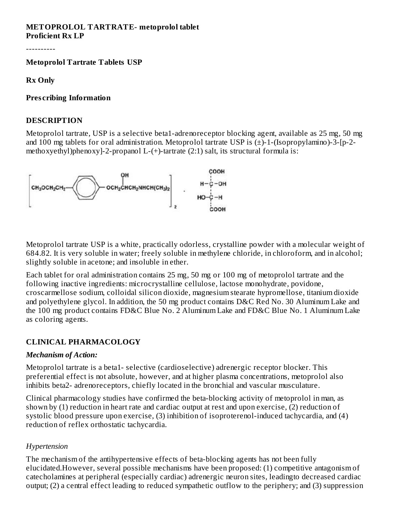#### **METOPROLOL TARTRATE- metoprolol tablet Proficient Rx LP**

----------

**Metoprolol Tartrate Tablets USP**

**Rx Only**

#### **Pres cribing Information**

#### **DESCRIPTION**

Metoprolol tartrate, USP is a selective beta1-adrenoreceptor blocking agent, available as 25 mg, 50 mg and 100 mg tablets for oral administration. Metoprolol tartrate USP is (±)-1-(Isopropylamino)-3-[p-2 methoxyethyl)phenoxy]-2-propanol L-(+)-tartrate (2:1) salt, its structural formula is:



Metoprolol tartrate USP is a white, practically odorless, crystalline powder with a molecular weight of 684.82. It is very soluble in water; freely soluble in methylene chloride, in chloroform, and in alcohol; slightly soluble in acetone; and insoluble in ether.

Each tablet for oral administration contains 25 mg, 50 mg or 100 mg of metoprolol tartrate and the following inactive ingredients: microcrystalline cellulose, lactose monohydrate, povidone, croscarmellose sodium, colloidal silicon dioxide, magnesium stearate hypromellose, titanium dioxide and polyethylene glycol. In addition, the 50 mg product contains D&C Red No. 30 Aluminum Lake and the 100 mg product contains FD&C Blue No. 2 Aluminum Lake and FD&C Blue No. 1 Aluminum Lake as coloring agents.

#### **CLINICAL PHARMACOLOGY**

#### *Mechanism of Action:*

Metoprolol tartrate is a beta1- selective (cardioselective) adrenergic receptor blocker. This preferential effect is not absolute, however, and at higher plasma concentrations, metoprolol also inhibits beta2- adrenoreceptors, chiefly located in the bronchial and vascular musculature.

Clinical pharmacology studies have confirmed the beta-blocking activity of metoprolol in man, as shown by (1) reduction in heart rate and cardiac output at rest and upon exercise, (2) reduction of systolic blood pressure upon exercise, (3) inhibition of isoproterenol-induced tachycardia, and (4) reduction of reflex orthostatic tachycardia.

## *Hypertension*

The mechanism of the antihypertensive effects of beta-blocking agents has not been fully elucidated.However, several possible mechanisms have been proposed: (1) competitive antagonism of catecholamines at peripheral (especially cardiac) adrenergic neuron sites, leadingto decreased cardiac output; (2) a central effect leading to reduced sympathetic outflow to the periphery; and (3) suppression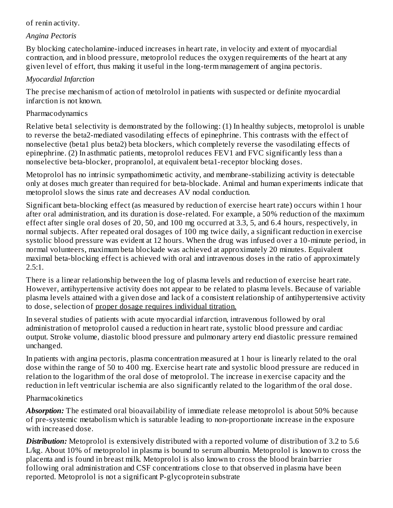#### of renin activity.

#### *Angina Pectoris*

By blocking catecholamine-induced increases in heart rate, in velocity and extent of myocardial contraction, and in blood pressure, metoprolol reduces the oxygen requirements of the heart at any given level of effort, thus making it useful in the long-term management of angina pectoris.

#### *Myocardial Infarction*

The precise mechanism of action of metolrolol in patients with suspected or definite myocardial infarction is not known.

#### Pharmacodynamics

Relative beta1 selectivity is demonstrated by the following: (1) In healthy subjects, metoprolol is unable to reverse the beta2-mediated vasodilating effects of epinephrine. This contrasts with the effect of nonselective (beta1 plus beta2) beta blockers, which completely reverse the vasodilating effects of epinephrine. (2) In asthmatic patients, metoprolol reduces FEV1 and FVC significantly less than a nonselective beta-blocker, propranolol, at equivalent beta1-receptor blocking doses.

Metoprolol has no intrinsic sympathomimetic activity, and membrane-stabilizing activity is detectable only at doses much greater than required for beta-blockade. Animal and human experiments indicate that metoprolol slows the sinus rate and decreases AV nodal conduction.

Significant beta-blocking effect (as measured by reduction of exercise heart rate) occurs within 1 hour after oral administration, and its duration is dose-related. For example, a 50% reduction of the maximum effect after single oral doses of 20, 50, and 100 mg occurred at 3.3, 5, and 6.4 hours, respectively, in normal subjects. After repeated oral dosages of 100 mg twice daily, a significant reduction in exercise systolic blood pressure was evident at 12 hours. When the drug was infused over a 10-minute period, in normal volunteers, maximum beta blockade was achieved at approximately 20 minutes. Equivalent maximal beta-blocking effect is achieved with oral and intravenous doses in the ratio of approximately 2.5:1.

There is a linear relationship between the log of plasma levels and reduction of exercise heart rate. However, antihypertensive activity does not appear to be related to plasma levels. Because of variable plasma levels attained with a given dose and lack of a consistent relationship of antihypertensive activity to dose, selection of proper dosage requires individual titration.

In several studies of patients with acute myocardial infarction, intravenous followed by oral administration of metoprolol caused a reduction in heart rate, systolic blood pressure and cardiac output. Stroke volume, diastolic blood pressure and pulmonary artery end diastolic pressure remained unchanged.

In patients with angina pectoris, plasma concentration measured at 1 hour is linearly related to the oral dose within the range of 50 to 400 mg. Exercise heart rate and systolic blood pressure are reduced in relation to the logarithm of the oral dose of metoprolol. The increase in exercise capacity and the reduction in left ventricular ischemia are also significantly related to the logarithm of the oral dose.

## Pharmacokinetics

*Absorption:* The estimated oral bioavailability of immediate release metoprolol is about 50% because of pre-systemic metabolism which is saturable leading to non-proportionate increase in the exposure with increased dose.

*Distribution:* Metoprolol is extensively distributed with a reported volume of distribution of 3.2 to 5.6 L/kg. About 10% of metoprolol in plasma is bound to serum albumin. Metoprolol is known to cross the placenta and is found in breast milk. Metoprolol is also known to cross the blood brain barrier following oral administration and CSF concentrations close to that observed in plasma have been reported. Metoprolol is not a significant P-glycoprotein substrate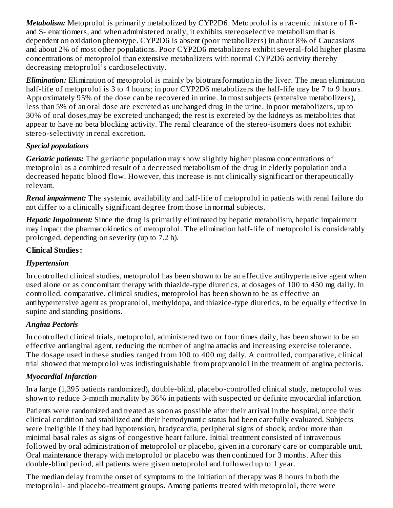*Metabolism:* Metoprolol is primarily metabolized by CYP2D6. Metoprolol is a racemic mixture of Rand S- enantiomers, and when administered orally, it exhibits stereoselective metabolism that is dependent on oxidation phenotype. CYP2D6 is absent (poor metabolizers) in about 8% of Caucasians and about 2% of most other populations. Poor CYP2D6 metabolizers exhibit several-fold higher plasma concentrations of metoprolol than extensive metabolizers with normal CYP2D6 activity thereby decreasing metoprolol's cardioselectivity.

*Elimination:* Elimination of metoprolol is mainly by biotransformation in the liver. The mean elimination half-life of metoprolol is 3 to 4 hours; in poor CYP2D6 metabolizers the half-life may be 7 to 9 hours. Approximately 95% of the dose can be recovered in urine. In most subjects (extensive metabolizers), less than 5% of an oral dose are excreted as unchanged drug in the urine. In poor metabolizers, up to 30% of oral doses,may be excreted unchanged; the rest is excreted by the kidneys as metabolites that appear to have no beta blocking activity. The renal clearance of the stereo-isomers does not exhibit stereo-selectivity in renal excretion.

# *Special populations*

*Geriatric patients:* The geriatric population may show slightly higher plasma concentrations of metoprolol as a combined result of a decreased metabolism of the drug in elderly population and a decreased hepatic blood flow. However, this increase is not clinically significant or therapeutically relevant.

*Renal impairment:* The systemic availability and half-life of metoprolol in patients with renal failure do not differ to a clinically significant degree from those in normal subjects.

*Hepatic Impairment:* Since the drug is primarily eliminated by hepatic metabolism, hepatic impairment may impact the pharmacokinetics of metoprolol. The elimination half-life of metoprolol is considerably prolonged, depending on severity (up to 7.2 h).

# **Clinical Studies:**

# *Hypertension*

In controlled clinical studies, metoprolol has been shown to be an effective antihypertensive agent when used alone or as concomitant therapy with thiazide-type diuretics, at dosages of 100 to 450 mg daily. In controlled, comparative, clinical studies, metoprolol has been shown to be as effective an antihypertensive agent as propranolol, methyldopa, and thiazide-type diuretics, to be equally effective in supine and standing positions.

# *Angina Pectoris*

In controlled clinical trials, metoprolol, administered two or four times daily, has been shown to be an effective antianginal agent, reducing the number of angina attacks and increasing exercise tolerance. The dosage used in these studies ranged from 100 to 400 mg daily. A controlled, comparative, clinical trial showed that metoprolol was indistinguishable from propranolol in the treatment of angina pectoris.

# *Myocardial Infarction*

In a large (1,395 patients randomized), double-blind, placebo-controlled clinical study, metoprolol was shown to reduce 3-month mortality by 36% in patients with suspected or definite myocardial infarction.

Patients were randomized and treated as soon as possible after their arrival in the hospital, once their clinical condition had stabilized and their hemodynamic status had been carefully evaluated. Subjects were ineligible if they had hypotension, bradycardia, peripheral signs of shock, and/or more than minimal basal rales as signs of congestive heart failure. Initial treatment consisted of intravenous followed by oral administration of metoprolol or placebo, given in a coronary care or comparable unit. Oral maintenance therapy with metoprolol or placebo was then continued for 3 months. After this double-blind period, all patients were given metoprolol and followed up to 1 year.

The median delay from the onset of symptoms to the initiation of therapy was 8 hours in both the metoprolol- and placebo-treatment groups. Among patients treated with metoprolol, there were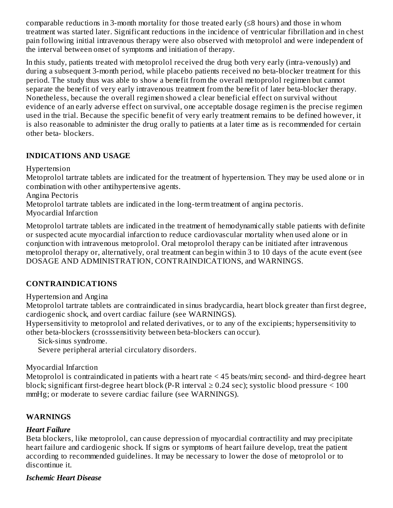comparable reductions in 3-month mortality for those treated early (≤8 hours) and those in whom treatment was started later. Significant reductions in the incidence of ventricular fibrillation and in chest pain following initial intravenous therapy were also observed with metoprolol and were independent of the interval between onset of symptoms and initiation of therapy.

In this study, patients treated with metoprolol received the drug both very early (intra-venously) and during a subsequent 3-month period, while placebo patients received no beta-blocker treatment for this period. The study thus was able to show a benefit from the overall metoprolol regimen but cannot separate the benefit of very early intravenous treatment from the benefit of later beta-blocker therapy. Nonetheless, because the overall regimen showed a clear beneficial effect on survival without evidence of an early adverse effect on survival, one acceptable dosage regimen is the precise regimen used in the trial. Because the specific benefit of very early treatment remains to be defined however, it is also reasonable to administer the drug orally to patients at a later time as is recommended for certain other beta- blockers.

#### **INDICATIONS AND USAGE**

Hypertension

Metoprolol tartrate tablets are indicated for the treatment of hypertension. They may be used alone or in combination with other antihypertensive agents.

Angina Pectoris

Metoprolol tartrate tablets are indicated in the long-term treatment of angina pectoris. Myocardial Infarction

Metoprolol tartrate tablets are indicated in the treatment of hemodynamically stable patients with definite or suspected acute myocardial infarction to reduce cardiovascular mortality when used alone or in conjunction with intravenous metoprolol. Oral metoprolol therapy can be initiated after intravenous

metoprolol therapy or, alternatively, oral treatment can begin within 3 to 10 days of the acute event (see DOSAGE AND ADMINISTRATION, CONTRAINDICATIONS, and WARNINGS.

## **CONTRAINDICATIONS**

Hypertension and Angina

Metoprolol tartrate tablets are contraindicated in sinus bradycardia, heart block greater than first degree, cardiogenic shock, and overt cardiac failure (see WARNINGS).

Hypersensitivity to metoprolol and related derivatives, or to any of the excipients; hypersensitivity to other beta-blockers (crosssensitivity between beta-blockers can occur).

Sick-sinus syndrome.

Severe peripheral arterial circulatory disorders.

Myocardial Infarction

Metoprolol is contraindicated in patients with a heart rate < 45 beats/min; second- and third-degree heart block; significant first-degree heart block (P-R interval  $\geq$  0.24 sec); systolic blood pressure  $\leq$  100 mmHg; or moderate to severe cardiac failure (see WARNINGS).

## **WARNINGS**

#### *Heart Failure*

Beta blockers, like metoprolol, can cause depression of myocardial contractility and may precipitate heart failure and cardiogenic shock. If signs or symptoms of heart failure develop, treat the patient according to recommended guidelines. It may be necessary to lower the dose of metoprolol or to discontinue it.

#### *Ischemic Heart Disease*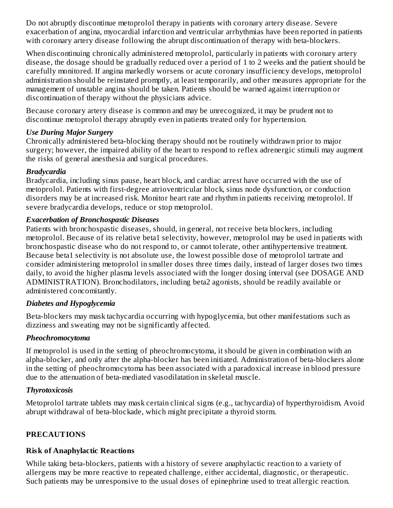Do not abruptly discontinue metoprolol therapy in patients with coronary artery disease. Severe exacerbation of angina, myocardial infarction and ventricular arrhythmias have been reported in patients with coronary artery disease following the abrupt discontinuation of therapy with beta-blockers.

When discontinuing chronically administered metoprolol, particularly in patients with coronary artery disease, the dosage should be gradually reduced over a period of 1 to 2 weeks and the patient should be carefully monitored. If angina markedly worsens or acute coronary insufficiency develops, metoprolol administration should be reinstated promptly, at least temporarily, and other measures appropriate for the management of unstable angina should be taken. Patients should be warned against interruption or discontinuation of therapy without the physicians advice.

Because coronary artery disease is common and may be unrecognized, it may be prudent not to discontinue metoprolol therapy abruptly even in patients treated only for hypertension.

#### *Use During Major Surgery*

Chronically administered beta-blocking therapy should not be routinely withdrawn prior to major surgery; however, the impaired ability of the heart to respond to reflex adrenergic stimuli may augment the risks of general anesthesia and surgical procedures.

## *Bradycardia*

Bradycardia, including sinus pause, heart block, and cardiac arrest have occurred with the use of metoprolol. Patients with first-degree atrioventricular block, sinus node dysfunction, or conduction disorders may be at increased risk. Monitor heart rate and rhythm in patients receiving metoprolol. If severe bradycardia develops, reduce or stop metoprolol.

#### *Exacerbation of Bronchospastic Diseases*

Patients with bronchospastic diseases, should, in general, not receive beta blockers, including metoprolol. Because of its relative beta1 selectivity, however, metoprolol may be used in patients with bronchospastic disease who do not respond to, or cannot tolerate, other antihypertensive treatment. Because beta1 selectivity is not absolute use, the lowest possible dose of metoprolol tartrate and consider administering metoprolol in smaller doses three times daily, instead of larger doses two times daily, to avoid the higher plasma levels associated with the longer dosing interval (see DOSAGE AND ADMINISTRATION). Bronchodilators, including beta2 agonists, should be readily available or administered concomitantly.

## *Diabetes and Hypoglycemia*

Beta-blockers may mask tachycardia occurring with hypoglycemia, but other manifestations such as dizziness and sweating may not be significantly affected.

## *Pheochromocytoma*

If metoprolol is used in the setting of pheochromocytoma, it should be given in combination with an alpha-blocker, and only after the alpha-blocker has been initiated. Administration of beta-blockers alone in the setting of pheochromocytoma has been associated with a paradoxical increase in blood pressure due to the attenuation of beta-mediated vasodilatation in skeletal muscle.

## *Thyrotoxicosis*

Metoprolol tartrate tablets may mask certain clinical signs (e.g., tachycardia) of hyperthyroidism. Avoid abrupt withdrawal of beta-blockade, which might precipitate a thyroid storm.

## **PRECAUTIONS**

## **Risk of Anaphylactic Reactions**

While taking beta-blockers, patients with a history of severe anaphylactic reaction to a variety of allergens may be more reactive to repeated challenge, either accidental, diagnostic, or therapeutic. Such patients may be unresponsive to the usual doses of epinephrine used to treat allergic reaction.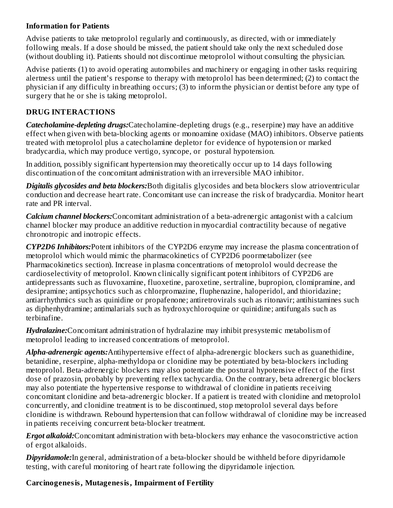#### **Information for Patients**

Advise patients to take metoprolol regularly and continuously, as directed, with or immediately following meals. If a dose should be missed, the patient should take only the next scheduled dose (without doubling it). Patients should not discontinue metoprolol without consulting the physician.

Advise patients (1) to avoid operating automobiles and machinery or engaging in other tasks requiring alertness until the patient's response to therapy with metoprolol has been determined; (2) to contact the physician if any difficulty in breathing occurs; (3) to inform the physician or dentist before any type of surgery that he or she is taking metoprolol.

#### **DRUG INTERACTIONS**

*Catecholamine-depleting drugs:*Catecholamine-depleting drugs (e.g., reserpine) may have an additive effect when given with beta-blocking agents or monoamine oxidase (MAO) inhibitors. Observe patients treated with metoprolol plus a catecholamine depletor for evidence of hypotension or marked bradycardia, which may produce vertigo, syncope, or postural hypotension.

In addition, possibly significant hypertension may theoretically occur up to 14 days following discontinuation of the concomitant administration with an irreversible MAO inhibitor.

*Digitalis glycosides and beta blockers:*Both digitalis glycosides and beta blockers slow atrioventricular conduction and decrease heart rate. Concomitant use can increase the risk of bradycardia. Monitor heart rate and PR interval.

*Calcium channel blockers:*Concomitant administration of a beta-adrenergic antagonist with a calcium channel blocker may produce an additive reduction in myocardial contractility because of negative chronotropic and inotropic effects.

*CYP2D6 Inhibitors:*Potent inhibitors of the CYP2D6 enzyme may increase the plasma concentration of metoprolol which would mimic the pharmacokinetics of CYP2D6 poormetabolizer (see Pharmacokinetics section). Increase in plasma concentrations of metoprolol would decrease the cardioselectivity of metoprolol. Known clinically significant potent inhibitors of CYP2D6 are antidepressants such as fluvoxamine, fluoxetine, paroxetine, sertraline, bupropion, clomipramine, and desipramine; antipsychotics such as chlorpromazine, fluphenazine, haloperidol, and thioridazine; antiarrhythmics such as quinidine or propafenone; antiretrovirals such as ritonavir; antihistamines such as diphenhydramine; antimalarials such as hydroxychloroquine or quinidine; antifungals such as terbinafine.

*Hydralazine:*Concomitant administration of hydralazine may inhibit presystemic metabolism of metoprolol leading to increased concentrations of metoprolol.

*Alpha-adrenergic agents:*Antihypertensive effect of alpha-adrenergic blockers such as guanethidine, betanidine, reserpine, alpha-methyldopa or clonidine may be potentiated by beta-blockers including metoprolol. Beta-adrenergic blockers may also potentiate the postural hypotensive effect of the first dose of prazosin, probably by preventing reflex tachycardia. On the contrary, beta adrenergic blockers may also potentiate the hypertensive response to withdrawal of clonidine in patients receiving concomitant clonidine and beta-adrenergic blocker. If a patient is treated with clonidine and metoprolol concurrently, and clonidine treatment is to be discontinued, stop metoprolol several days before clonidine is withdrawn. Rebound hypertension that can follow withdrawal of clonidine may be increased in patients receiving concurrent beta-blocker treatment.

*Ergot alkaloid:*Concomitant administration with beta-blockers may enhance the vasoconstrictive action of ergot alkaloids.

*Dipyridamole:*In general, administration of a beta-blocker should be withheld before dipyridamole testing, with careful monitoring of heart rate following the dipyridamole injection.

## **Carcinogenesis, Mutagenesis, Impairment of Fertility**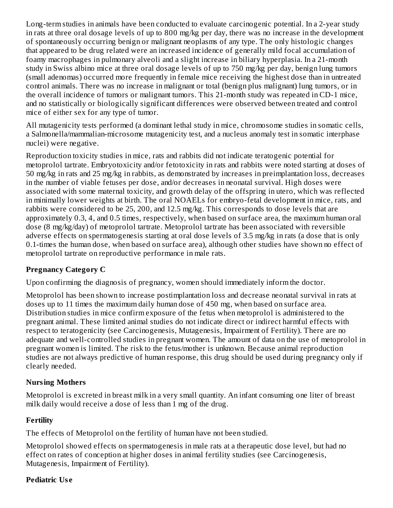Long-term studies in animals have been conducted to evaluate carcinogenic potential. In a 2-year study in rats at three oral dosage levels of up to 800 mg/kg per day, there was no increase in the development of spontaneously occurring benign or malignant neoplasms of any type. The only histologic changes that appeared to be drug related were an increased incidence of generally mild focal accumulation of foamy macrophages in pulmonary alveoli and a slight increase in biliary hyperplasia. In a 21-month study in Swiss albino mice at three oral dosage levels of up to 750 mg/kg per day, benign lung tumors (small adenomas) occurred more frequently in female mice receiving the highest dose than in untreated control animals. There was no increase in malignant or total (benign plus malignant) lung tumors, or in the overall incidence of tumors or malignant tumors. This 21-month study was repeated in CD-1 mice, and no statistically or biologically significant differences were observed between treated and control mice of either sex for any type of tumor.

All mutagenicity tests performed (a dominant lethal study in mice, chromosome studies in somatic cells, a Salmonella/mammalian-microsome mutagenicity test, and a nucleus anomaly test in somatic interphase nuclei) were negative.

Reproduction toxicity studies in mice, rats and rabbits did not indicate teratogenic potential for metoprolol tartrate. Embryotoxicity and/or fetotoxicity in rats and rabbits were noted starting at doses of 50 mg/kg in rats and 25 mg/kg in rabbits, as demonstrated by increases in preimplantation loss, decreases in the number of viable fetuses per dose, and/or decreases in neonatal survival. High doses were associated with some maternal toxicity, and growth delay of the offspring in utero, which was reflected in minimally lower weights at birth. The oral NOAELs for embryo-fetal development in mice, rats, and rabbits were considered to be 25, 200, and 12.5 mg/kg. This corresponds to dose levels that are approximately 0.3, 4, and 0.5 times, respectively, when based on surface area, the maximum human oral dose (8 mg/kg/day) of metoprolol tartrate. Metoprolol tartrate has been associated with reversible adverse effects on spermatogenesis starting at oral dose levels of 3.5 mg/kg in rats (a dose that is only 0.1-times the human dose, when based on surface area), although other studies have shown no effect of metoprolol tartrate on reproductive performance in male rats.

## **Pregnancy Category C**

Upon confirming the diagnosis of pregnancy, women should immediately inform the doctor.

Metoprolol has been shown to increase postimplantation loss and decrease neonatal survival in rats at doses up to 11 times the maximum daily human dose of 450 mg, when based on surface area. Distribution studies in mice confirm exposure of the fetus when metoprolol is administered to the pregnant animal. These limited animal studies do not indicate direct or indirect harmful effects with respect to teratogenicity (see Carcinogenesis, Mutagenesis, Impairment of Fertility). There are no adequate and well-controlled studies in pregnant women. The amount of data on the use of metoprolol in pregnant women is limited. The risk to the fetus/mother is unknown. Because animal reproduction studies are not always predictive of human response, this drug should be used during pregnancy only if clearly needed.

## **Nursing Mothers**

Metoprolol is excreted in breast milk in a very small quantity. An infant consuming one liter of breast milk daily would receive a dose of less than 1 mg of the drug.

# **Fertility**

The effects of Metoprolol on the fertility of human have not been studied.

Metoprolol showed effects on spermatogenesis in male rats at a therapeutic dose level, but had no effect on rates of conception at higher doses in animal fertility studies (see Carcinogenesis, Mutagenesis, Impairment of Fertility).

# **Pediatric Us e**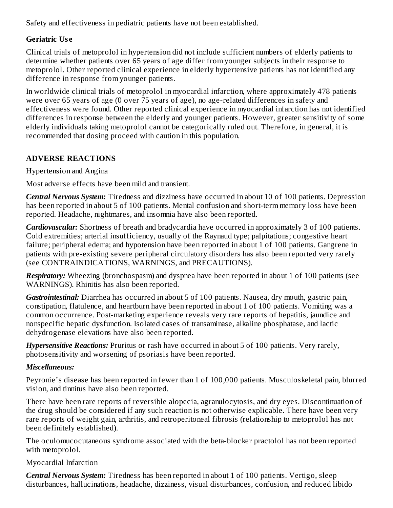Safety and effectiveness in pediatric patients have not been established.

## **Geriatric Us e**

Clinical trials of metoprolol in hypertension did not include sufficient numbers of elderly patients to determine whether patients over 65 years of age differ from younger subjects in their response to metoprolol. Other reported clinical experience in elderly hypertensive patients has not identified any difference in response from younger patients.

In worldwide clinical trials of metoprolol in myocardial infarction, where approximately 478 patients were over 65 years of age (0 over 75 years of age), no age-related differences in safety and effectiveness were found. Other reported clinical experience in myocardial infarction has not identified differences in response between the elderly and younger patients. However, greater sensitivity of some elderly individuals taking metoprolol cannot be categorically ruled out. Therefore, in general, it is recommended that dosing proceed with caution in this population.

# **ADVERSE REACTIONS**

Hypertension and Angina

Most adverse effects have been mild and transient.

*Central Nervous System:* Tiredness and dizziness have occurred in about 10 of 100 patients. Depression has been reported in about 5 of 100 patients. Mental confusion and short-term memory loss have been reported. Headache, nightmares, and insomnia have also been reported.

*Cardiovascular:* Shortness of breath and bradycardia have occurred in approximately 3 of 100 patients. Cold extremities; arterial insufficiency, usually of the Raynaud type; palpitations; congestive heart failure; peripheral edema; and hypotension have been reported in about 1 of 100 patients. Gangrene in patients with pre-existing severe peripheral circulatory disorders has also been reported very rarely (see CONTRAINDICATIONS, WARNINGS, and PRECAUTIONS).

*Respiratory:* Wheezing (bronchospasm) and dyspnea have been reported in about 1 of 100 patients (see WARNINGS). Rhinitis has also been reported.

*Gastrointestinal:* Diarrhea has occurred in about 5 of 100 patients. Nausea, dry mouth, gastric pain, constipation, flatulence, and heartburn have been reported in about 1 of 100 patients. Vomiting was a common occurrence. Post-marketing experience reveals very rare reports of hepatitis, jaundice and nonspecific hepatic dysfunction. Isolated cases of transaminase, alkaline phosphatase, and lactic dehydrogenase elevations have also been reported.

*Hypersensitive Reactions:* Pruritus or rash have occurred in about 5 of 100 patients. Very rarely, photosensitivity and worsening of psoriasis have been reported.

# *Miscellaneous:*

Peyronie's disease has been reported in fewer than 1 of 100,000 patients. Musculoskeletal pain, blurred vision, and tinnitus have also been reported.

There have been rare reports of reversible alopecia, agranulocytosis, and dry eyes. Discontinuation of the drug should be considered if any such reaction is not otherwise explicable. There have been very rare reports of weight gain, arthritis, and retroperitoneal fibrosis (relationship to metoprolol has not been definitely established).

The oculomucocutaneous syndrome associated with the beta-blocker practolol has not been reported with metoprolol.

Myocardial Infarction

*Central Nervous System:* Tiredness has been reported in about 1 of 100 patients. Vertigo, sleep disturbances, hallucinations, headache, dizziness, visual disturbances, confusion, and reduced libido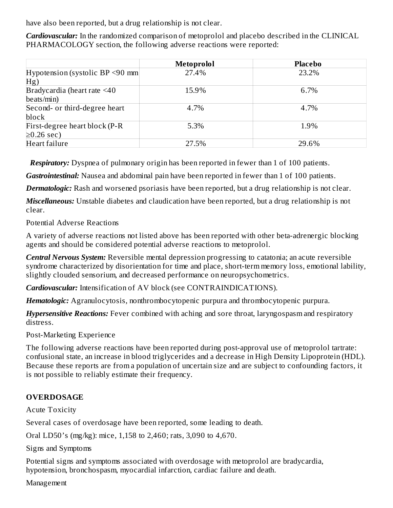have also been reported, but a drug relationship is not clear.

*Cardiovascular:* In the randomized comparison of metoprolol and placebo described in the CLINICAL PHARMACOLOGY section, the following adverse reactions were reported:

|                                       | Metoprolol | <b>Placebo</b> |
|---------------------------------------|------------|----------------|
| Hypotension (systolic BP $\leq$ 90 mm | 27.4%      | 23.2%          |
| Hg)                                   |            |                |
| Bradycardia (heart rate <40           | 15.9%      | 6.7%           |
| beats/min)                            |            |                |
| Second- or third-degree heart         | 4.7%       | 4.7%           |
| block                                 |            |                |
| First-degree heart block (P-R         | 5.3%       | 1.9%           |
| $\geq$ 0.26 sec)                      |            |                |
| Heart failure                         | 27.5%      | 29.6%          |

*Respiratory:* Dyspnea of pulmonary origin has been reported in fewer than 1 of 100 patients.

*Gastrointestinal:* Nausea and abdominal pain have been reported in fewer than 1 of 100 patients.

*Dermatologic:* Rash and worsened psoriasis have been reported, but a drug relationship is not clear.

*Miscellaneous:* Unstable diabetes and claudication have been reported, but a drug relationship is not clear.

Potential Adverse Reactions

A variety of adverse reactions not listed above has been reported with other beta-adrenergic blocking agents and should be considered potential adverse reactions to metoprolol.

*Central Nervous System:* Reversible mental depression progressing to catatonia; an acute reversible syndrome characterized by disorientation for time and place, short-term memory loss, emotional lability, slightly clouded sensorium, and decreased performance on neuropsychometrics.

*Cardiovascular:* Intensification of AV block (see CONTRAINDICATIONS).

*Hematologic:* Agranulocytosis, nonthrombocytopenic purpura and thrombocytopenic purpura.

*Hypersensitive Reactions:* Fever combined with aching and sore throat, laryngospasm and respiratory distress.

Post-Marketing Experience

The following adverse reactions have been reported during post-approval use of metoprolol tartrate: confusional state, an increase in blood triglycerides and a decrease in High Density Lipoprotein (HDL). Because these reports are from a population of uncertain size and are subject to confounding factors, it is not possible to reliably estimate their frequency.

# **OVERDOSAGE**

Acute Toxicity

Several cases of overdosage have been reported, some leading to death.

Oral LD50's (mg/kg): mice, 1,158 to 2,460; rats, 3,090 to 4,670.

Signs and Symptoms

Potential signs and symptoms associated with overdosage with metoprolol are bradycardia, hypotension, bronchospasm, myocardial infarction, cardiac failure and death.

Management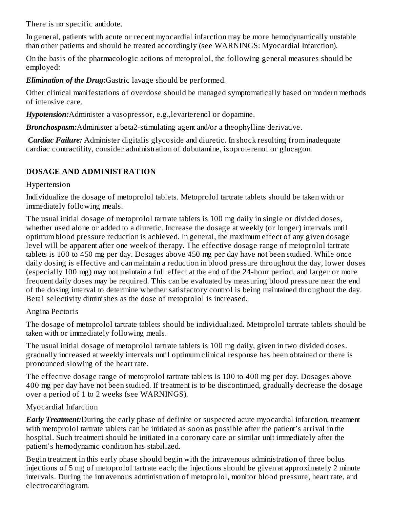There is no specific antidote.

In general, patients with acute or recent myocardial infarction may be more hemodynamically unstable than other patients and should be treated accordingly (see WARNINGS: Myocardial Infarction).

On the basis of the pharmacologic actions of metoprolol, the following general measures should be employed:

*Elimination of the Drug:*Gastric lavage should be performed.

Other clinical manifestations of overdose should be managed symptomatically based on modern methods of intensive care.

*Hypotension:*Administer a vasopressor, e.g.,levarterenol or dopamine.

*Bronchospasm:*Administer a beta2-stimulating agent and/or a theophylline derivative.

*Cardiac Failure:* Administer digitalis glycoside and diuretic. In shock resulting from inadequate cardiac contractility, consider administration of dobutamine, isoproterenol or glucagon.

#### **DOSAGE AND ADMINISTRATION**

#### Hypertension

Individualize the dosage of metoprolol tablets. Metoprolol tartrate tablets should be taken with or immediately following meals.

The usual initial dosage of metoprolol tartrate tablets is 100 mg daily in single or divided doses, whether used alone or added to a diuretic. Increase the dosage at weekly (or longer) intervals until optimum blood pressure reduction is achieved. In general, the maximum effect of any given dosage level will be apparent after one week of therapy. The effective dosage range of metoprolol tartrate tablets is 100 to 450 mg per day. Dosages above 450 mg per day have not been studied. While once daily dosing is effective and can maintain a reduction in blood pressure throughout the day, lower doses (especially 100 mg) may not maintain a full effect at the end of the 24-hour period, and larger or more frequent daily doses may be required. This can be evaluated by measuring blood pressure near the end of the dosing interval to determine whether satisfactory control is being maintained throughout the day. Beta1 selectivity diminishes as the dose of metoprolol is increased.

#### Angina Pectoris

The dosage of metoprolol tartrate tablets should be individualized. Metoprolol tartrate tablets should be taken with or immediately following meals.

The usual initial dosage of metoprolol tartrate tablets is 100 mg daily, given in two divided doses. gradually increased at weekly intervals until optimum clinical response has been obtained or there is pronounced slowing of the heart rate.

The effective dosage range of metoprolol tartrate tablets is 100 to 400 mg per day. Dosages above 400 mg per day have not been studied. If treatment is to be discontinued, gradually decrease the dosage over a period of 1 to 2 weeks (see WARNINGS).

## Myocardial Infarction

*Early Treatment:*During the early phase of definite or suspected acute myocardial infarction, treatment with metoprolol tartrate tablets can be initiated as soon as possible after the patient's arrival in the hospital. Such treatment should be initiated in a coronary care or similar unit immediately after the patient's hemodynamic condition has stabilized.

Begin treatment in this early phase should begin with the intravenous administration of three bolus injections of 5 mg of metoprolol tartrate each; the injections should be given at approximately 2 minute intervals. During the intravenous administration of metoprolol, monitor blood pressure, heart rate, and electrocardiogram.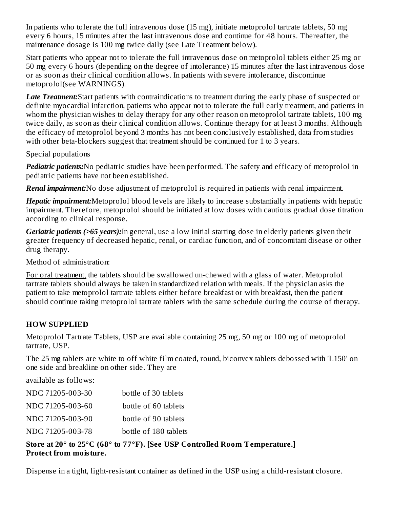In patients who tolerate the full intravenous dose (15 mg), initiate metoprolol tartrate tablets, 50 mg every 6 hours, 15 minutes after the last intravenous dose and continue for 48 hours. Thereafter, the maintenance dosage is 100 mg twice daily (see Late Treatment below).

Start patients who appear not to tolerate the full intravenous dose on metoprolol tablets either 25 mg or 50 mg every 6 hours (depending on the degree of intolerance) 15 minutes after the last intravenous dose or as soon as their clinical condition allows. In patients with severe intolerance, discontinue metoprolol(see WARNINGS).

*Late Treatment:*Start patients with contraindications to treatment during the early phase of suspected or definite myocardial infarction, patients who appear not to tolerate the full early treatment, and patients in whom the physician wishes to delay therapy for any other reason on metoprolol tartrate tablets, 100 mg twice daily, as soon as their clinical condition allows. Continue therapy for at least 3 months. Although the efficacy of metoprolol beyond 3 months has not been conclusively established, data from studies with other beta-blockers suggest that treatment should be continued for 1 to 3 years.

Special populations

*Pediatric patients:*No pediatric studies have been performed. The safety and efficacy of metoprolol in pediatric patients have not been established.

*Renal impairment:*No dose adjustment of metoprolol is required in patients with renal impairment.

*Hepatic impairment:*Metoprolol blood levels are likely to increase substantially in patients with hepatic impairment. Therefore, metoprolol should be initiated at low doses with cautious gradual dose titration according to clinical response.

*Geriatric patients (>65 years):*In general, use a low initial starting dose in elderly patients given their greater frequency of decreased hepatic, renal, or cardiac function, and of concomitant disease or other drug therapy.

Method of administration:

For oral treatment, the tablets should be swallowed un-chewed with a glass of water. Metoprolol tartrate tablets should always be taken in standardized relation with meals. If the physician asks the patient to take metoprolol tartrate tablets either before breakfast or with breakfast, then the patient should continue taking metoprolol tartrate tablets with the same schedule during the course of therapy.

# **HOW SUPPLIED**

Metoprolol Tartrate Tablets, USP are available containing 25 mg, 50 mg or 100 mg of metoprolol tartrate, USP.

The 25 mg tablets are white to off white film coated, round, biconvex tablets debossed with 'L150' on one side and breakline on other side. They are

available as follows:

| NDC 71205-003-30 | bottle of 30 tablets  |
|------------------|-----------------------|
| NDC 71205-003-60 | bottle of 60 tablets  |
| NDC 71205-003-90 | bottle of 90 tablets  |
| NDC 71205-003-78 | bottle of 180 tablets |

#### **Store at 20° to 25°C (68° to 77°F). [See USP Controlled Room Temperature.] Protect from moisture.**

Dispense in a tight, light-resistant container as defined in the USP using a child-resistant closure.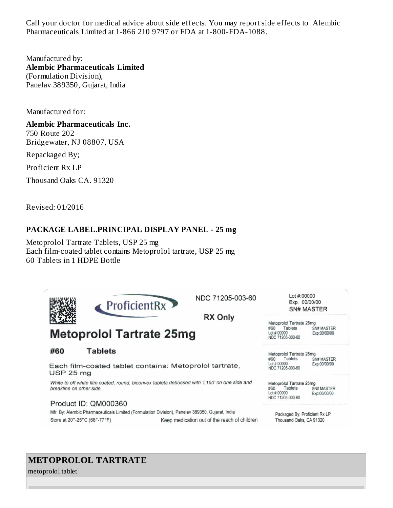Call your doctor for medical advice about side effects. You may report side effects to Alembic Pharmaceuticals Limited at 1-866 210 9797 or FDA at 1-800-FDA-1088.

Manufactured by: **Alembic Pharmaceuticals Limited** (Formulation Division), Panelav 389350, Gujarat, India

Manufactured for:

**Alembic Pharmaceuticals Inc.** 750 Route 202

Bridgewater, NJ 08807, USA

Repackaged By;

Proficient Rx LP

Thousand Oaks CA. 91320

Revised: 01/2016

#### **PACKAGE LABEL.PRINCIPAL DISPLAY PANEL - 25 mg**

Metoprolol Tartrate Tablets, USP 25 mg Each film-coated tablet contains Metoprolol tartrate, USP 25 mg 60 Tablets in 1 HDPE Bottle



# **METOPROLOL TARTRATE**

metoprolol tablet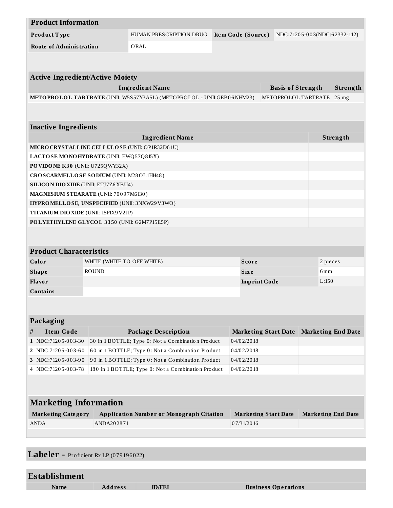| <b>Product Information</b>                      |                                            |                                                                       |                    |                     |                             |                              |                  |
|-------------------------------------------------|--------------------------------------------|-----------------------------------------------------------------------|--------------------|---------------------|-----------------------------|------------------------------|------------------|
| Product Type                                    |                                            | HUMAN PRESCRIPTION DRUG                                               | Item Code (Source) |                     |                             | NDC:71205-003(NDC:62332-112) |                  |
| <b>Route of Administration</b>                  |                                            | ORAL                                                                  |                    |                     |                             |                              |                  |
|                                                 |                                            |                                                                       |                    |                     |                             |                              |                  |
|                                                 |                                            |                                                                       |                    |                     |                             |                              |                  |
| <b>Active Ingredient/Active Moiety</b>          |                                            |                                                                       |                    |                     |                             |                              |                  |
|                                                 |                                            | <b>Ingredient Name</b>                                                |                    |                     | <b>Basis of Strength</b>    |                              | Strength         |
|                                                 |                                            | METOPROLOL TARTRATE (UNII: W5S57Y3A5L) (METOPROLOL - UNII:GEB06NHM23) |                    |                     | METOPROLOL TARTRATE         |                              | 25 <sub>mg</sub> |
|                                                 |                                            |                                                                       |                    |                     |                             |                              |                  |
| <b>Inactive Ingredients</b>                     |                                            |                                                                       |                    |                     |                             |                              |                  |
|                                                 |                                            | <b>Ingredient Name</b>                                                |                    |                     |                             |                              | Strength         |
| MICRO CRYSTALLINE CELLULO SE (UNII: OP1R32D61U) |                                            |                                                                       |                    |                     |                             |                              |                  |
| LACTOSE MONOHYDRATE (UNII: EWQ57Q8I5X)          |                                            |                                                                       |                    |                     |                             |                              |                  |
| PO VIDO NE K30 (UNII: U725QWY32X)               |                                            |                                                                       |                    |                     |                             |                              |                  |
| CROSCARMELLOSE SODIUM (UNII: M28OL1HH48)        |                                            |                                                                       |                    |                     |                             |                              |                  |
| <b>SILICON DIO XIDE (UNII: ETJ7Z6 XBU4)</b>     |                                            |                                                                       |                    |                     |                             |                              |                  |
| MAGNESIUM STEARATE (UNII: 70097M6I30)           |                                            |                                                                       |                    |                     |                             |                              |                  |
| HYPROMELLOSE, UNSPECIFIED (UNII: 3NXW29V3WO)    |                                            |                                                                       |                    |                     |                             |                              |                  |
| TITANIUM DIO XIDE (UNII: 15FIX9V2JP)            |                                            |                                                                       |                    |                     |                             |                              |                  |
| POLYETHYLENE GLYCOL 3350 (UNII: G2M7P15E5P)     |                                            |                                                                       |                    |                     |                             |                              |                  |
|                                                 |                                            |                                                                       |                    |                     |                             |                              |                  |
|                                                 |                                            |                                                                       |                    |                     |                             |                              |                  |
| <b>Product Characteristics</b>                  |                                            |                                                                       |                    |                     |                             |                              |                  |
| Color                                           | <b>Score</b><br>WHITE (WHITE TO OFF WHITE) |                                                                       |                    | 2 pieces            |                             |                              |                  |
| <b>Shape</b>                                    | <b>ROUND</b>                               |                                                                       |                    | <b>Size</b>         |                             | 6 <sub>mm</sub>              |                  |
| Flavor                                          |                                            |                                                                       |                    | <b>Imprint Code</b> |                             | L;150                        |                  |
| <b>Contains</b>                                 |                                            |                                                                       |                    |                     |                             |                              |                  |
|                                                 |                                            |                                                                       |                    |                     |                             |                              |                  |
|                                                 |                                            |                                                                       |                    |                     |                             |                              |                  |
| Packaging                                       |                                            |                                                                       |                    |                     |                             |                              |                  |
| <b>Item Code</b><br>#                           |                                            | <b>Package Description</b>                                            |                    |                     | <b>Marketing Start Date</b> | <b>Marketing End Date</b>    |                  |
| 1 NDC:71205-003-30                              |                                            | 30 in 1 BOTTLE; Type 0: Not a Combination Product                     |                    | 04/02/2018          |                             |                              |                  |
| 2 NDC:71205-003-60                              |                                            | 60 in 1 BOTTLE; Type 0: Not a Combination Product                     |                    | 04/02/2018          |                             |                              |                  |
| 3 NDC:71205-003-90                              |                                            | 90 in 1 BOTTLE; Type 0: Not a Combination Product                     |                    | 04/02/2018          |                             |                              |                  |
| 4 NDC:71205-003-78                              |                                            | 180 in 1 BOTTLE; Type 0: Not a Combination Product                    |                    | 04/02/2018          |                             |                              |                  |
|                                                 |                                            |                                                                       |                    |                     |                             |                              |                  |
|                                                 |                                            |                                                                       |                    |                     |                             |                              |                  |
| <b>Marketing Information</b>                    |                                            |                                                                       |                    |                     |                             |                              |                  |
| <b>Marketing Category</b>                       |                                            | <b>Application Number or Monograph Citation</b>                       |                    |                     | <b>Marketing Start Date</b> | <b>Marketing End Date</b>    |                  |
| ANDA                                            | ANDA202871                                 |                                                                       |                    | 07/31/2016          |                             |                              |                  |
|                                                 |                                            |                                                                       |                    |                     |                             |                              |                  |
|                                                 |                                            |                                                                       |                    |                     |                             |                              |                  |

**Labeler -** Proficient Rx LP (079196022)

| <b>Establishment</b> |                |               |                            |
|----------------------|----------------|---------------|----------------------------|
| Name                 | <b>Address</b> | <b>ID/FEI</b> | <b>Business Operations</b> |
|                      |                |               |                            |